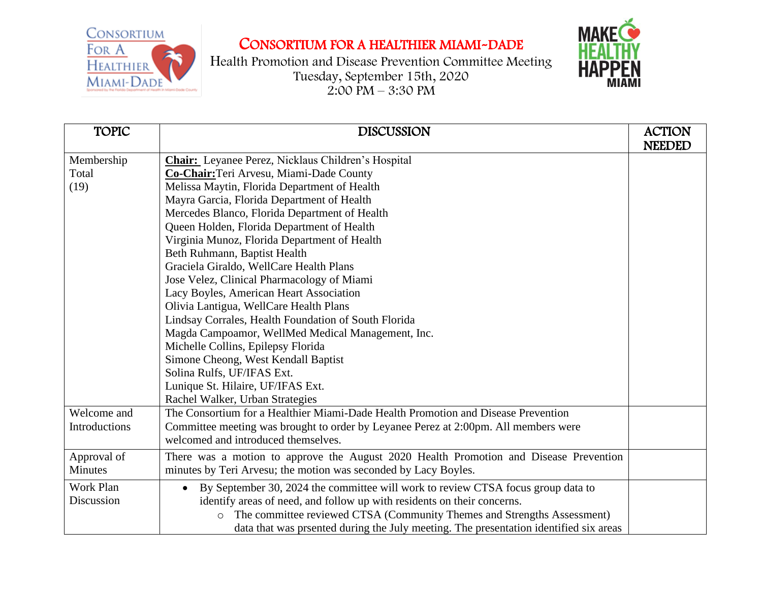CONSORTIUM For A Healthier MIAMI-DADE

## CONSORTIUM FOR A HEALTHIER MIAMI-DADE

Health Promotion and Disease Prevention Committee Meeting Tuesday, September 15th, 2020  $2:00 \text{ PM} - 3:30 \text{ PM}$ 



| <b>TOPIC</b>  | <b>DISCUSSION</b>                                                                             | <b>ACTION</b><br><b>NEEDED</b> |
|---------------|-----------------------------------------------------------------------------------------------|--------------------------------|
|               | <b>Chair:</b> Leyanee Perez, Nicklaus Children's Hospital                                     |                                |
| Membership    |                                                                                               |                                |
| Total         | Co-Chair: Teri Arvesu, Miami-Dade County                                                      |                                |
| (19)          | Melissa Maytin, Florida Department of Health                                                  |                                |
|               | Mayra Garcia, Florida Department of Health                                                    |                                |
|               | Mercedes Blanco, Florida Department of Health                                                 |                                |
|               | Queen Holden, Florida Department of Health                                                    |                                |
|               | Virginia Munoz, Florida Department of Health                                                  |                                |
|               | Beth Ruhmann, Baptist Health                                                                  |                                |
|               | Graciela Giraldo, WellCare Health Plans                                                       |                                |
|               | Jose Velez, Clinical Pharmacology of Miami                                                    |                                |
|               | Lacy Boyles, American Heart Association                                                       |                                |
|               | Olivia Lantigua, WellCare Health Plans                                                        |                                |
|               | Lindsay Corrales, Health Foundation of South Florida                                          |                                |
|               | Magda Campoamor, WellMed Medical Management, Inc.                                             |                                |
|               | Michelle Collins, Epilepsy Florida                                                            |                                |
|               | Simone Cheong, West Kendall Baptist                                                           |                                |
|               | Solina Rulfs, UF/IFAS Ext.                                                                    |                                |
|               | Lunique St. Hilaire, UF/IFAS Ext.                                                             |                                |
|               | Rachel Walker, Urban Strategies                                                               |                                |
| Welcome and   | The Consortium for a Healthier Miami-Dade Health Promotion and Disease Prevention             |                                |
| Introductions | Committee meeting was brought to order by Leyanee Perez at 2:00pm. All members were           |                                |
|               | welcomed and introduced themselves.                                                           |                                |
|               |                                                                                               |                                |
| Approval of   | There was a motion to approve the August 2020 Health Promotion and Disease Prevention         |                                |
| Minutes       | minutes by Teri Arvesu; the motion was seconded by Lacy Boyles.                               |                                |
| Work Plan     | By September 30, 2024 the committee will work to review CTSA focus group data to<br>$\bullet$ |                                |
| Discussion    | identify areas of need, and follow up with residents on their concerns.                       |                                |
|               | The committee reviewed CTSA (Community Themes and Strengths Assessment)<br>$\circ$            |                                |
|               | data that was prsented during the July meeting. The presentation identified six areas         |                                |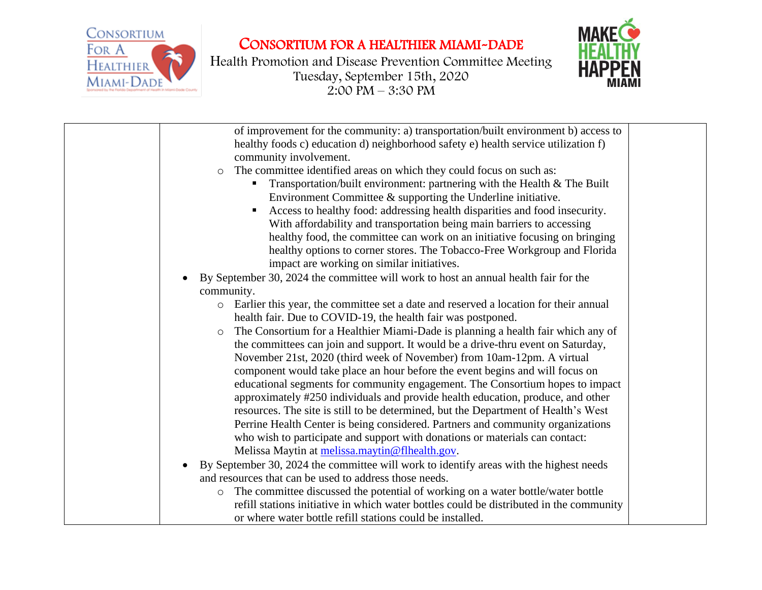

## CONSORTIUM FOR A HEALTHIER MIAMI-DADE

Health Promotion and Disease Prevention Committee Meeting Tuesday, September 15th, 2020  $2:00 \text{ PM} - 3:30 \text{ PM}$ 



| of improvement for the community: a) transportation/built environment b) access to                  |  |
|-----------------------------------------------------------------------------------------------------|--|
| healthy foods c) education d) neighborhood safety e) health service utilization f)                  |  |
| community involvement.                                                                              |  |
| The committee identified areas on which they could focus on such as:<br>$\circ$                     |  |
| Transportation/built environment: partnering with the Health & The Built                            |  |
| Environment Committee $\&$ supporting the Underline initiative.                                     |  |
| Access to healthy food: addressing health disparities and food insecurity.                          |  |
| With affordability and transportation being main barriers to accessing                              |  |
| healthy food, the committee can work on an initiative focusing on bringing                          |  |
| healthy options to corner stores. The Tobacco-Free Workgroup and Florida                            |  |
| impact are working on similar initiatives.                                                          |  |
| By September 30, 2024 the committee will work to host an annual health fair for the                 |  |
| community.                                                                                          |  |
| Earlier this year, the committee set a date and reserved a location for their annual<br>$\circ$     |  |
| health fair. Due to COVID-19, the health fair was postponed.                                        |  |
| The Consortium for a Healthier Miami-Dade is planning a health fair which any of<br>$\circ$         |  |
| the committees can join and support. It would be a drive-thru event on Saturday,                    |  |
| November 21st, 2020 (third week of November) from 10am-12pm. A virtual                              |  |
| component would take place an hour before the event begins and will focus on                        |  |
| educational segments for community engagement. The Consortium hopes to impact                       |  |
| approximately #250 individuals and provide health education, produce, and other                     |  |
| resources. The site is still to be determined, but the Department of Health's West                  |  |
| Perrine Health Center is being considered. Partners and community organizations                     |  |
| who wish to participate and support with donations or materials can contact:                        |  |
| Melissa Maytin at melissa.maytin@flhealth.gov.                                                      |  |
| By September 30, 2024 the committee will work to identify areas with the highest needs<br>$\bullet$ |  |
| and resources that can be used to address those needs.                                              |  |
| The committee discussed the potential of working on a water bottle/water bottle<br>$\circ$          |  |
| refill stations initiative in which water bottles could be distributed in the community             |  |
| or where water bottle refill stations could be installed.                                           |  |
|                                                                                                     |  |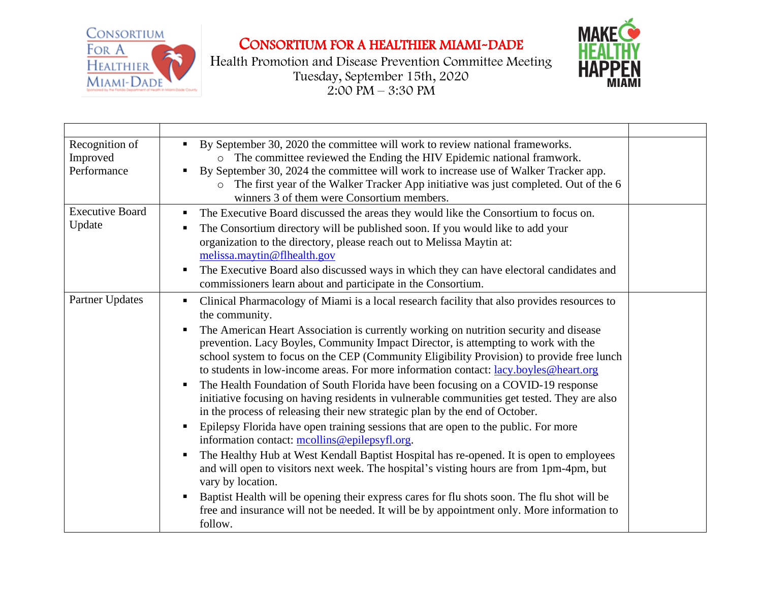

## CONSORTIUM FOR A HEALTHIER MIAMI-DADE

Health Promotion and Disease Prevention Committee Meeting Tuesday, September 15th, 2020  $2:00 \text{ PM} - 3:30 \text{ PM}$ 



| Recognition of<br>Improved<br>Performance | By September 30, 2020 the committee will work to review national frameworks.<br>$\blacksquare$<br>o The committee reviewed the Ending the HIV Epidemic national framwork.<br>By September 30, 2024 the committee will work to increase use of Walker Tracker app.<br>o The first year of the Walker Tracker App initiative was just completed. Out of the 6<br>winners 3 of them were Consortium members.                                                                                                                                                                                                                                                                                                                                                                                                                                                                                                                                                                                                                                                                                                                                                                                                                                                                                                                                                                |  |
|-------------------------------------------|--------------------------------------------------------------------------------------------------------------------------------------------------------------------------------------------------------------------------------------------------------------------------------------------------------------------------------------------------------------------------------------------------------------------------------------------------------------------------------------------------------------------------------------------------------------------------------------------------------------------------------------------------------------------------------------------------------------------------------------------------------------------------------------------------------------------------------------------------------------------------------------------------------------------------------------------------------------------------------------------------------------------------------------------------------------------------------------------------------------------------------------------------------------------------------------------------------------------------------------------------------------------------------------------------------------------------------------------------------------------------|--|
| <b>Executive Board</b><br>Update          | The Executive Board discussed the areas they would like the Consortium to focus on.<br>п.<br>The Consortium directory will be published soon. If you would like to add your<br>organization to the directory, please reach out to Melissa Maytin at:<br>melissa.maytin@flhealth.gov<br>The Executive Board also discussed ways in which they can have electoral candidates and<br>п,<br>commissioners learn about and participate in the Consortium.                                                                                                                                                                                                                                                                                                                                                                                                                                                                                                                                                                                                                                                                                                                                                                                                                                                                                                                     |  |
| Partner Updates                           | Clinical Pharmacology of Miami is a local research facility that also provides resources to<br>п<br>the community.<br>The American Heart Association is currently working on nutrition security and disease<br>prevention. Lacy Boyles, Community Impact Director, is attempting to work with the<br>school system to focus on the CEP (Community Eligibility Provision) to provide free lunch<br>to students in low-income areas. For more information contact: lacy.boyles@heart.org<br>The Health Foundation of South Florida have been focusing on a COVID-19 response<br>$\blacksquare$<br>initiative focusing on having residents in vulnerable communities get tested. They are also<br>in the process of releasing their new strategic plan by the end of October.<br>Epilepsy Florida have open training sessions that are open to the public. For more<br>$\blacksquare$<br>information contact: mcollins@epilepsyfl.org.<br>The Healthy Hub at West Kendall Baptist Hospital has re-opened. It is open to employees<br>and will open to visitors next week. The hospital's visting hours are from 1pm-4pm, but<br>vary by location.<br>Baptist Health will be opening their express cares for flu shots soon. The flu shot will be<br>$\blacksquare$<br>free and insurance will not be needed. It will be by appointment only. More information to<br>follow. |  |